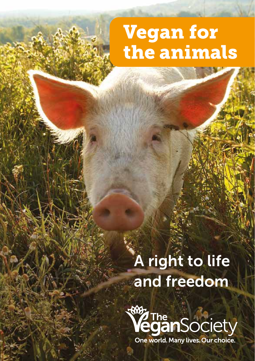# Vegan for the animals

# A right to life and freedom